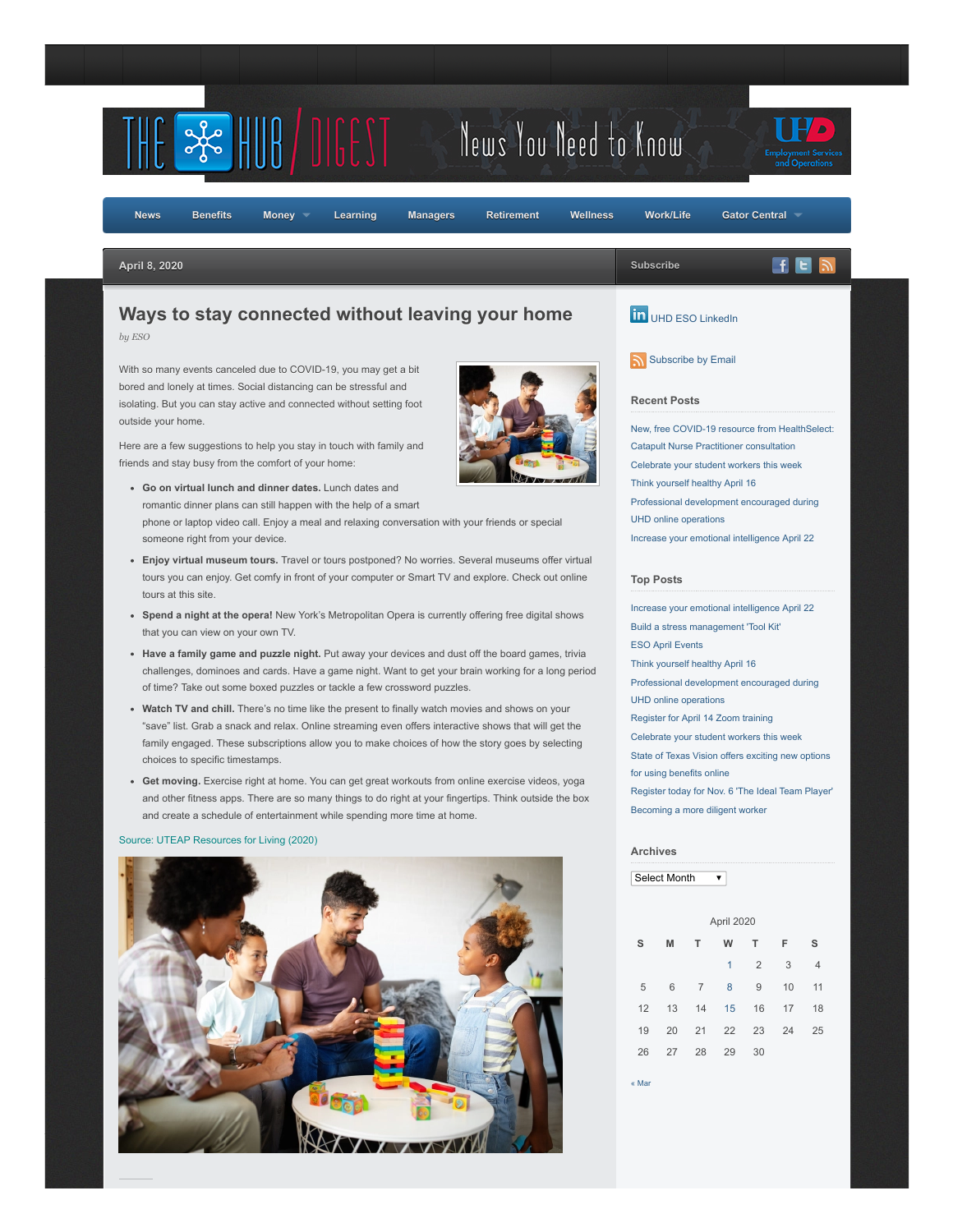